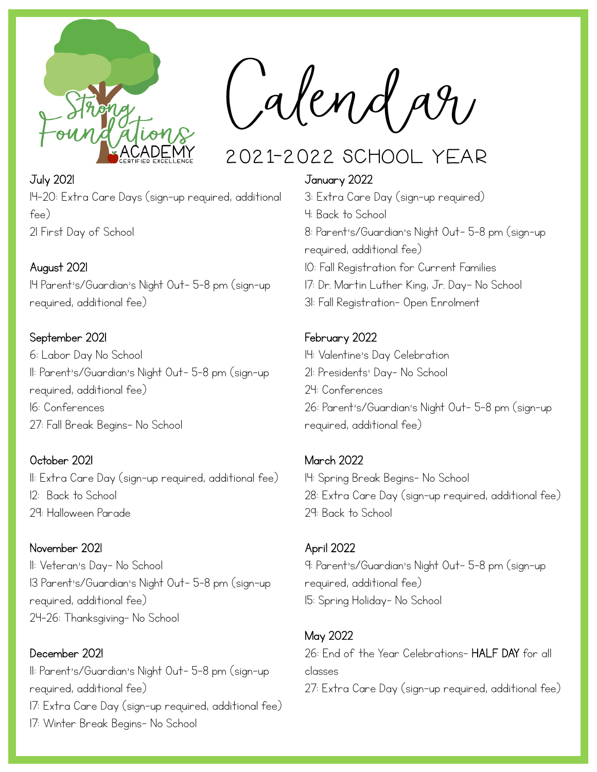

**Calendar**

# 2021-2022 School Year

#### July 2021

14-20: Extra Care Days (sign-up required, additional fee) 21 First Day of School

## August 2021

14 Parent's/Guardian's Night Out- 5-8 pm (sign-up required, additional fee)

## September 2021

6: Labor Day No School 11: Parent's/Guardian's Night Out- 5-8 pm (sign-up required, additional fee) 16: Conferences 27: Fall Break Begins- No School

## October 2021

11: Extra Care Day (sign-up required, additional fee) 12: Back to School 29: Halloween Parade

#### November 2021 11: Veteran's Day- No School

13 Parent's/Guardian's Night Out- 5-8 pm (sign-up required, additional fee) 24-26: Thanksgiving- No School

December 2021 11: Parent's/Guardian's Night Out- 5-8 pm (sign-up required, additional fee) 17: Extra Care Day (sign-up required, additional fee) 17: Winter Break Begins- No School

#### January 2022

3: Extra Care Day (sign-up required) 4: Back to School 8: Parent's/Guardian's Night Out- 5-8 pm (sign-up required, additional fee) 10: Fall Registration for Current Families 17: Dr. Martin Luther King, Jr. Day- No School

31: Fall Registration- Open Enrolment

#### February 2022

14: Valentine's Day Celebration 21: Presidents' Day- No School 24: Conferences 26: Parent's/Guardian's Night Out- 5-8 pm (sign-up required, additional fee)

## March 2022

14: Spring Break Begins- No School 28: Extra Care Day (sign-up required, additional fee) 29: Back to School

#### April 2022

9: Parent's/Guardian's Night Out- 5-8 pm (sign-up required, additional fee) 15: Spring Holiday- No School

## May 2022

26: End of the Year Celebrations- HALF DAY for all classes 27: Extra Care Day (sign-up required, additional fee)